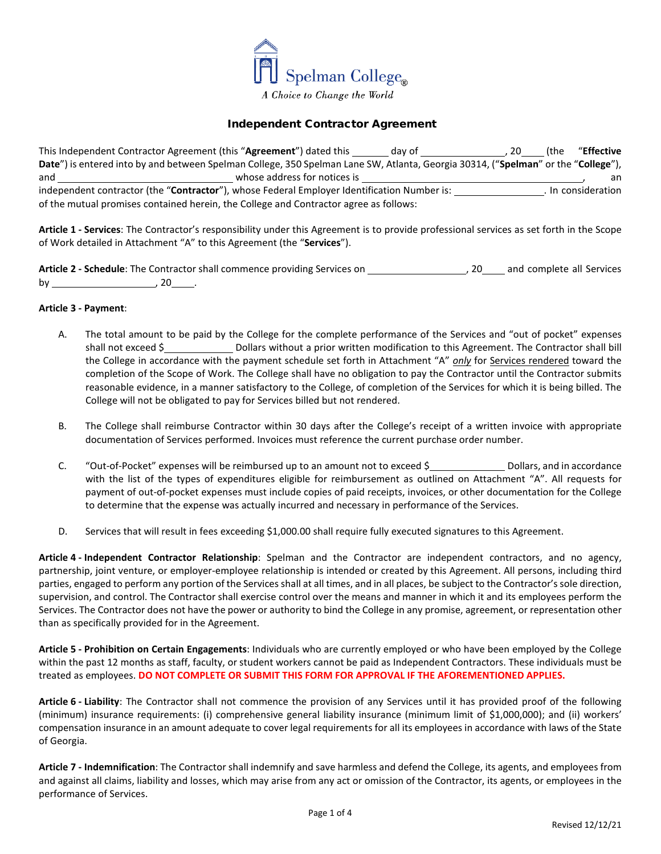

## Independent Contractor Agreement

This Independent Contractor Agreement (this "Agreement") dated this day of 100 and 20 (the "Effective **Date**") is entered into by and between Spelman College, 350 Spelman Lane SW, Atlanta, Georgia 30314, ("**Spelman**" or the "**College**"), and whose address for notices is **whose address for notices** is **and** and the same whose address for notices is **and** and the same whose address for notices is **and** and the same whose address for notices is **and** and the independent contractor (the "**Contractor**"), whose Federal Employer Identification Number is: . In consideration of the mutual promises contained herein, the College and Contractor agree as follows:

**Article 1 - Services**: The Contractor's responsibility under this Agreement is to provide professional services as set forth in the Scope of Work detailed in Attachment "A" to this Agreement (the "**Services**").

Article 2 - Schedule: The Contractor shall commence providing Services on **1998**, 20 and complete all Services by , 20 .

## **Article 3 - Payment**:

- A. The total amount to be paid by the College for the complete performance of the Services and "out of pocket" expenses shall not exceed \$\_\_\_\_\_\_\_\_\_\_\_\_\_\_\_\_\_ Dollars without a prior written modification to this Agreement. The Contractor shall bill the College in accordance with the payment schedule set forth in Attachment "A" *only* for Services rendered toward the completion of the Scope of Work. The College shall have no obligation to pay the Contractor until the Contractor submits reasonable evidence, in a manner satisfactory to the College, of completion of the Services for which it is being billed. The College will not be obligated to pay for Services billed but not rendered.
- B. The College shall reimburse Contractor within 30 days after the College's receipt of a written invoice with appropriate documentation of Services performed. Invoices must reference the current purchase order number.
- C. "Out-of-Pocket" expenses will be reimbursed up to an amount not to exceed \$ Dollars, and in accordance with the list of the types of expenditures eligible for reimbursement as outlined on Attachment "A". All requests for payment of out-of-pocket expenses must include copies of paid receipts, invoices, or other documentation for the College to determine that the expense was actually incurred and necessary in performance of the Services.
- D. Services that will result in fees exceeding \$1,000.00 shall require fully executed signatures to this Agreement.

**Article 4 - Independent Contractor Relationship**: Spelman and the Contractor are independent contractors, and no agency, partnership, joint venture, or employer-employee relationship is intended or created by this Agreement. All persons, including third parties, engaged to perform any portion of the Services shall at all times, and in all places, be subject to the Contractor's sole direction, supervision, and control. The Contractor shall exercise control over the means and manner in which it and its employees perform the Services. The Contractor does not have the power or authority to bind the College in any promise, agreement, or representation other than as specifically provided for in the Agreement.

**Article 5 - Prohibition on Certain Engagements**: Individuals who are currently employed or who have been employed by the College within the past 12 months as staff, faculty, or student workers cannot be paid as Independent Contractors. These individuals must be treated as employees. **DO NOT COMPLETE OR SUBMIT THIS FORM FOR APPROVAL IF THE AFOREMENTIONED APPLIES.**

**Article 6 - Liability**: The Contractor shall not commence the provision of any Services until it has provided proof of the following (minimum) insurance requirements: (i) comprehensive general liability insurance (minimum limit of \$1,000,000); and (ii) workers' compensation insurance in an amount adequate to cover legal requirements for all its employees in accordance with laws of the State of Georgia.

**Article 7 - Indemnification**: The Contractor shall indemnify and save harmless and defend the College, its agents, and employees from and against all claims, liability and losses, which may arise from any act or omission of the Contractor, its agents, or employees in the performance of Services.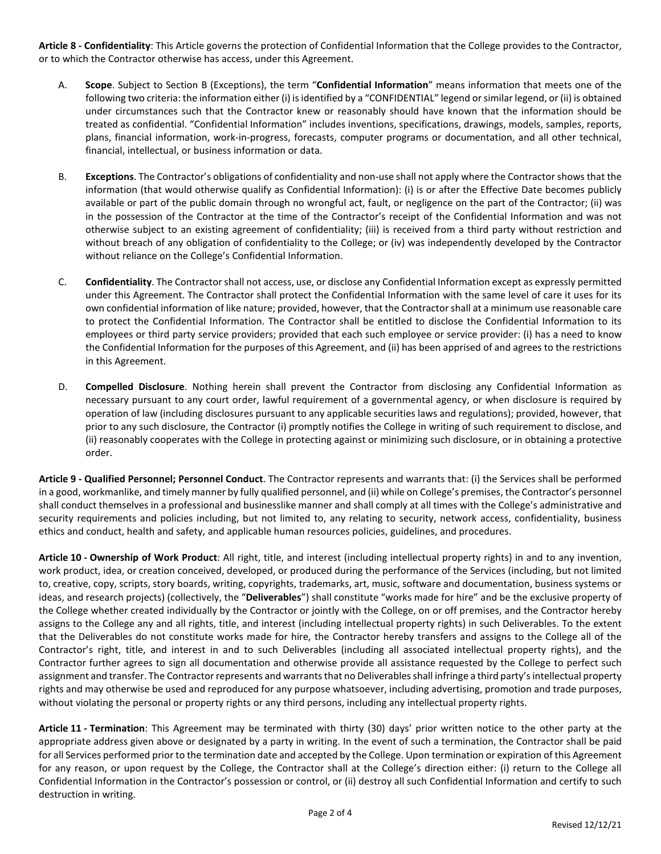**Article 8 - Confidentiality**: This Article governs the protection of Confidential Information that the College provides to the Contractor, or to which the Contractor otherwise has access, under this Agreement.

- A. **Scope**. Subject to Section [B](#page-1-0) (Exceptions), the term "**Confidential Information**" means information that meets one of the following two criteria: the information either (i) is identified by a "CONFIDENTIAL" legend or similar legend, or (ii) is obtained under circumstances such that the Contractor knew or reasonably should have known that the information should be treated as confidential. "Confidential Information" includes inventions, specifications, drawings, models, samples, reports, plans, financial information, work-in-progress, forecasts, computer programs or documentation, and all other technical, financial, intellectual, or business information or data.
- <span id="page-1-0"></span>B. **Exceptions**. The Contractor's obligations of confidentiality and non-use shall not apply where the Contractor shows that the information (that would otherwise qualify as Confidential Information): (i) is or after the Effective Date becomes publicly available or part of the public domain through no wrongful act, fault, or negligence on the part of the Contractor; (ii) was in the possession of the Contractor at the time of the Contractor's receipt of the Confidential Information and was not otherwise subject to an existing agreement of confidentiality; (iii) is received from a third party without restriction and without breach of any obligation of confidentiality to the College; or (iv) was independently developed by the Contractor without reliance on the College's Confidential Information.
- C. **Confidentiality**. The Contractor shall not access, use, or disclose any Confidential Information except as expressly permitted under this Agreement. The Contractor shall protect the Confidential Information with the same level of care it uses for its own confidential information of like nature; provided, however, that the Contractor shall at a minimum use reasonable care to protect the Confidential Information. The Contractor shall be entitled to disclose the Confidential Information to its employees or third party service providers; provided that each such employee or service provider: (i) has a need to know the Confidential Information for the purposes of this Agreement, and (ii) has been apprised of and agrees to the restrictions in this Agreement.
- D. **Compelled Disclosure**. Nothing herein shall prevent the Contractor from disclosing any Confidential Information as necessary pursuant to any court order, lawful requirement of a governmental agency, or when disclosure is required by operation of law (including disclosures pursuant to any applicable securities laws and regulations); provided, however, that prior to any such disclosure, the Contractor (i) promptly notifies the College in writing of such requirement to disclose, and (ii) reasonably cooperates with the College in protecting against or minimizing such disclosure, or in obtaining a protective order.

**Article 9 - Qualified Personnel; Personnel Conduct**. The Contractor represents and warrants that: (i) the Services shall be performed in a good, workmanlike, and timely manner by fully qualified personnel, and (ii) while on College's premises, the Contractor's personnel shall conduct themselves in a professional and businesslike manner and shall comply at all times with the College's administrative and security requirements and policies including, but not limited to, any relating to security, network access, confidentiality, business ethics and conduct, health and safety, and applicable human resources policies, guidelines, and procedures.

**Article 10 - Ownership of Work Product**: All right, title, and interest (including intellectual property rights) in and to any invention, work product, idea, or creation conceived, developed, or produced during the performance of the Services (including, but not limited to, creative, copy, scripts, story boards, writing, copyrights, trademarks, art, music, software and documentation, business systems or ideas, and research projects) (collectively, the "**Deliverables**") shall constitute "works made for hire" and be the exclusive property of the College whether created individually by the Contractor or jointly with the College, on or off premises, and the Contractor hereby assigns to the College any and all rights, title, and interest (including intellectual property rights) in such Deliverables. To the extent that the Deliverables do not constitute works made for hire, the Contractor hereby transfers and assigns to the College all of the Contractor's right, title, and interest in and to such Deliverables (including all associated intellectual property rights), and the Contractor further agrees to sign all documentation and otherwise provide all assistance requested by the College to perfect such assignment and transfer. The Contractor represents and warrants that no Deliverables shall infringe a third party's intellectual property rights and may otherwise be used and reproduced for any purpose whatsoever, including advertising, promotion and trade purposes, without violating the personal or property rights or any third persons, including any intellectual property rights.

**Article 11 - Termination**: This Agreement may be terminated with thirty (30) days' prior written notice to the other party at the appropriate address given above or designated by a party in writing. In the event of such a termination, the Contractor shall be paid for all Services performed prior to the termination date and accepted by the College. Upon termination or expiration of this Agreement for any reason, or upon request by the College, the Contractor shall at the College's direction either: (i) return to the College all Confidential Information in the Contractor's possession or control, or (ii) destroy all such Confidential Information and certify to such destruction in writing.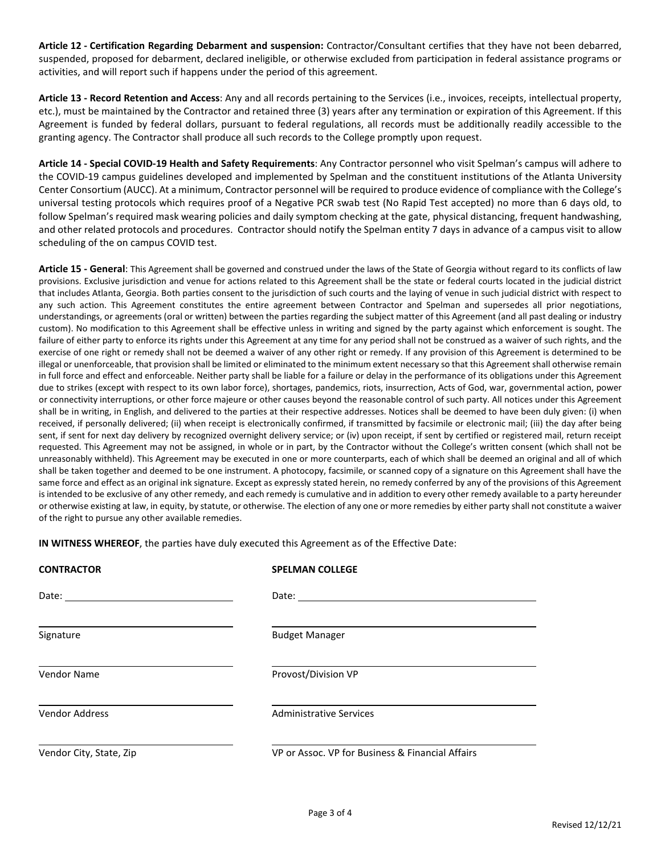**Article 12 - Certification Regarding Debarment and suspension:** Contractor/Consultant certifies that they have not been debarred, suspended, proposed for debarment, declared ineligible, or otherwise excluded from participation in federal assistance programs or activities, and will report such if happens under the period of this agreement.

**Article 13 - Record Retention and Access**: Any and all records pertaining to the Services (i.e., invoices, receipts, intellectual property, etc.), must be maintained by the Contractor and retained three (3) years after any termination or expiration of this Agreement. If this Agreement is funded by federal dollars, pursuant to federal regulations, all records must be additionally readily accessible to the granting agency. The Contractor shall produce all such records to the College promptly upon request.

**Article 14 - Special COVID-19 Health and Safety Requirements**: Any Contractor personnel who visit Spelman's campus will adhere to the COVID-19 campus guidelines developed and implemented by Spelman and the constituent institutions of the Atlanta University Center Consortium (AUCC). At a minimum, Contractor personnel will be required to produce evidence of compliance with the College's universal testing protocols which requires proof of a Negative PCR swab test (No Rapid Test accepted) no more than 6 days old, to follow Spelman's required mask wearing policies and daily symptom checking at the gate, physical distancing, frequent handwashing, and other related protocols and procedures. Contractor should notify the Spelman entity 7 days in advance of a campus visit to allow scheduling of the on campus COVID test.

**Article 15 - General**: This Agreement shall be governed and construed under the laws of the State of Georgia without regard to its conflicts of law provisions. Exclusive jurisdiction and venue for actions related to this Agreement shall be the state or federal courts located in the judicial district that includes Atlanta, Georgia. Both parties consent to the jurisdiction of such courts and the laying of venue in such judicial district with respect to any such action. This Agreement constitutes the entire agreement between Contractor and Spelman and supersedes all prior negotiations, understandings, or agreements (oral or written) between the parties regarding the subject matter of this Agreement (and all past dealing or industry custom). No modification to this Agreement shall be effective unless in writing and signed by the party against which enforcement is sought. The failure of either party to enforce its rights under this Agreement at any time for any period shall not be construed as a waiver of such rights, and the exercise of one right or remedy shall not be deemed a waiver of any other right or remedy. If any provision of this Agreement is determined to be illegal or unenforceable, that provision shall be limited or eliminated to the minimum extent necessary so that this Agreement shall otherwise remain in full force and effect and enforceable. Neither party shall be liable for a failure or delay in the performance of its obligations under this Agreement due to strikes (except with respect to its own labor force), shortages, pandemics, riots, insurrection, Acts of God, war, governmental action, power or connectivity interruptions, or other force majeure or other causes beyond the reasonable control of such party. All notices under this Agreement shall be in writing, in English, and delivered to the parties at their respective addresses. Notices shall be deemed to have been duly given: (i) when received, if personally delivered; (ii) when receipt is electronically confirmed, if transmitted by facsimile or electronic mail; (iii) the day after being sent, if sent for next day delivery by recognized overnight delivery service; or (iv) upon receipt, if sent by certified or registered mail, return receipt requested. This Agreement may not be assigned, in whole or in part, by the Contractor without the College's written consent (which shall not be unreasonably withheld). This Agreement may be executed in one or more counterparts, each of which shall be deemed an original and all of which shall be taken together and deemed to be one instrument. A photocopy, facsimile, or scanned copy of a signature on this Agreement shall have the same force and effect as an original ink signature. Except as expressly stated herein, no remedy conferred by any of the provisions of this Agreement is intended to be exclusive of any other remedy, and each remedy is cumulative and in addition to every other remedy available to a party hereunder or otherwise existing at law, in equity, by statute, or otherwise. The election of any one or more remedies by either party shall not constitute a waiver of the right to pursue any other available remedies.

**IN WITNESS WHEREOF**, the parties have duly executed this Agreement as of the Effective Date:

| <b>CONTRACTOR</b>                               | <b>SPELMAN COLLEGE</b>                           |
|-------------------------------------------------|--------------------------------------------------|
| Date: <u>__________________________________</u> |                                                  |
| Signature                                       | <b>Budget Manager</b>                            |
| Vendor Name                                     | Provost/Division VP                              |
| Vendor Address                                  | <b>Administrative Services</b>                   |
| Vendor City, State, Zip                         | VP or Assoc. VP for Business & Financial Affairs |